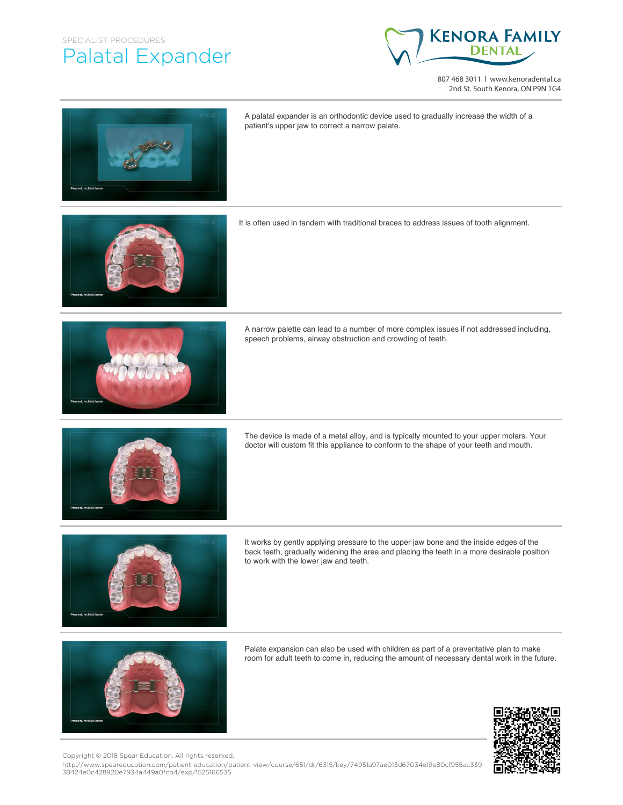## SPECIALIST PROCEDURES Palatal Expander



807 468 3011 | www.kenoradental.ca 2nd St. South Kenora, ON P9N 1G4



A palatal expander is an orthodontic device used to gradually increase the width of a patient's upper jaw to correct a narrow palate.

It is often used in tandem with traditional braces to address issues of tooth alignment.



A narrow palette can lead to a number of more complex issues if not addressed including, speech problems, airway obstruction and crowding of teeth.



The device is made of a metal alloy, and is typically mounted to your upper molars. Your doctor will custom fit this appliance to conform to the shape of your teeth and mouth.



It works by gently applying pressure to the upper jaw bone and the inside edges of the back teeth, gradually widening the area and placing the teeth in a more desirable position to work with the lower jaw and teeth.



Palate expansion can also be used with children as part of a preventative plan to make room for adult teeth to come in, reducing the amount of necessary dental work in the future.



Copyright © 2018 Spear Education. All rights reserved.

http://www.speareducation.com/patient-education/patient-view/course/651/dr/6315/key/74951a97ae013d67034e19e80cf955ac339 38424e0c428920e7934a449a0fcb4/exp/1525166535